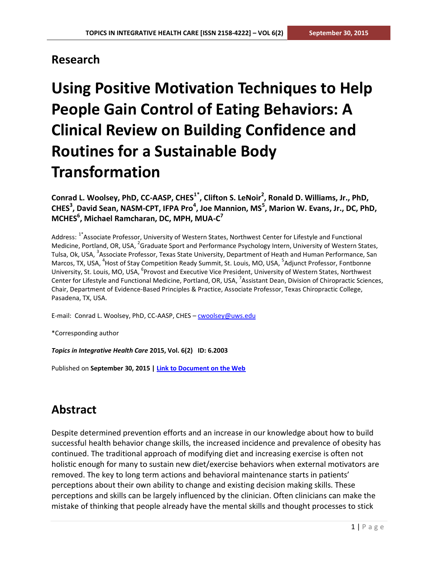### **Research**

# **Using Positive Motivation Techniques to Help People Gain Control of Eating Behaviors: A Clinical Review on Building Confidence and Routines for a Sustainable Body Transformation**

**Conrad L. Woolsey, PhD, CC-AASP, CHES1\* , Clifton S. LeNoir<sup>2</sup> , Ronald D. Williams, Jr., PhD, CHES<sup>3</sup> , David Sean, NASM-CPT, IFPA Pro<sup>4</sup> , Joe Mannion, MS<sup>5</sup> , Marion W. Evans, Jr., DC, PhD, MCHES<sup>6</sup> , Michael Ramcharan, DC, MPH, MUA-C 7**

Address: <sup>1\*</sup>Associate Professor, University of Western States, Northwest Center for Lifestyle and Functional Medicine, Portland, OR, USA, <sup>2</sup>Graduate Sport and Performance Psychology Intern, University of Western States, Tulsa, Ok, USA, <sup>3</sup>Associate Professor, Texas State University, Department of Heath and Human Performance, San Marcos, TX, USA, <sup>4</sup>Host of Stay Competition Ready Summit, St. Louis, MO, USA, <sup>5</sup>Adjunct Professor, Fontbonne University, St. Louis, MO, USA, <sup>6</sup>Provost and Executive Vice President, University of Western States, Northwest Center for Lifestyle and Functional Medicine, Portland, OR, USA, <sup>7</sup>Assistant Dean, Division of Chiropractic Sciences, Chair, Department of Evidence-Based Principles & Practice, Associate Professor, Texas Chiropractic College, Pasadena, TX, USA.

E-mail: Conrad L. Woolsey, PhD, CC-AASP, CHES - [cwoolsey@uws.edu](mailto:cwoolsey@uws.edu)

\*Corresponding author

*Topics in Integrative Health Care* **2015, Vol. 6(2) ID: 6.2003**

Published on **September 30, 2015 | [Link to Document on the Web](http://www.tihcij.com/Articles/Using-Positive-Motivation-Techniques-to-Help-People-Gain-Control-of-Eating-Behaviors-A-Clinical-Review-on-Building-Confidence-and-Routines-for-a-Sustainable-Body-Transformation.aspx?id=0000453)**

# **Abstract**

Despite determined prevention efforts and an increase in our knowledge about how to build successful health behavior change skills, the increased incidence and prevalence of obesity has continued. The traditional approach of modifying diet and increasing exercise is often not holistic enough for many to sustain new diet/exercise behaviors when external motivators are removed. The key to long term actions and behavioral maintenance starts in patients' perceptions about their own ability to change and existing decision making skills. These perceptions and skills can be largely influenced by the clinician. Often clinicians can make the mistake of thinking that people already have the mental skills and thought processes to stick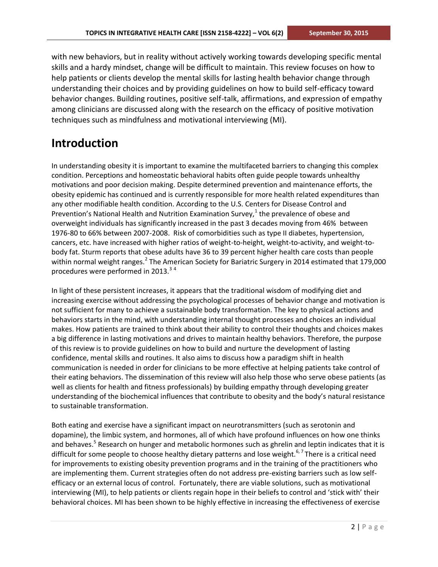with new behaviors, but in reality without actively working towards developing specific mental skills and a hardy mindset, change will be difficult to maintain. This review focuses on how to help patients or clients develop the mental skills for lasting health behavior change through understanding their choices and by providing guidelines on how to build self-efficacy toward behavior changes. Building routines, positive self-talk, affirmations, and expression of empathy among clinicians are discussed along with the research on the efficacy of positive motivation techniques such as mindfulness and motivational interviewing (MI).

### **Introduction**

In understanding obesity it is important to examine the multifaceted barriers to changing this complex condition. Perceptions and homeostatic behavioral habits often guide people towards unhealthy motivations and poor decision making. Despite determined prevention and maintenance efforts, the obesity epidemic has continued and is currently responsible for more health related expenditures than any other modifiable health condition. According to the U.S. Centers for Disease Control and Prevention's National Health and Nutrition Examination Survey, $^{1}$  the prevalence of obese and overweight individuals has significantly increased in the past 3 decades moving from 46% between 1976-80 to 66% between 2007-2008. Risk of comorbidities such as type II diabetes, hypertension, cancers, etc. have increased with higher ratios of weight-to-height, weight-to-activity, and weight-tobody fat. Sturm reports that obese adults have 36 to 39 percent higher health care costs than people within normal weight ranges.<sup>2</sup> The American Society for Bariatric Surgery in 2014 estimated that 179,000 procedures were performed in 2013. $34$ 

In light of these persistent increases, it appears that the traditional wisdom of modifying diet and increasing exercise without addressing the psychological processes of behavior change and motivation is not sufficient for many to achieve a sustainable body transformation. The key to physical actions and behaviors starts in the mind, with understanding internal thought processes and choices an individual makes. How patients are trained to think about their ability to control their thoughts and choices makes a big difference in lasting motivations and drives to maintain healthy behaviors. Therefore, the purpose of this review is to provide guidelines on how to build and nurture the development of lasting confidence, mental skills and routines. It also aims to discuss how a paradigm shift in health communication is needed in order for clinicians to be more effective at helping patients take control of their eating behaviors. The dissemination of this review will also help those who serve obese patients (as well as clients for health and fitness professionals) by building empathy through developing greater understanding of the biochemical influences that contribute to obesity and the body's natural resistance to sustainable transformation.

Both eating and exercise have a significant impact on neurotransmitters (such as serotonin and dopamine), the limbic system, and hormones, all of which have profound influences on how one thinks and behaves.<sup>5</sup> Research on hunger and metabolic hormones such as ghrelin and leptin indicates that it is difficult for some people to choose healthy dietary patterns and lose weight.<sup>6,7</sup> There is a critical need for improvements to existing obesity prevention programs and in the training of the practitioners who are implementing them. Current strategies often do not address pre-existing barriers such as low selfefficacy or an external locus of control. Fortunately, there are viable solutions, such as motivational interviewing (MI), to help patients or clients regain hope in their beliefs to control and 'stick with' their behavioral choices. MI has been shown to be highly effective in increasing the effectiveness of exercise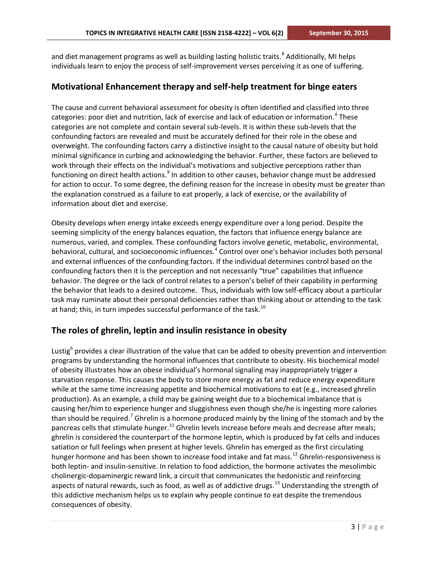and diet management programs as well as building lasting holistic traits.<sup>8</sup> Additionally, MI helps individuals learn to enjoy the process of self-improvement verses perceiving it as one of suffering.

### **Motivational Enhancement therapy and self-help treatment for binge eaters**

The cause and current behavioral assessment for obesity is often identified and classified into three categories: poor diet and nutrition, lack of exercise and lack of education or information.<sup>4</sup> These categories are not complete and contain several sub-levels. It is within these sub-levels that the confounding factors are revealed and must be accurately defined for their role in the obese and overweight. The confounding factors carry a distinctive insight to the causal nature of obesity but hold minimal significance in curbing and acknowledging the behavior. Further, these factors are believed to work through their effects on the individual's motivations and subjective perceptions rather than functioning on direct health actions.<sup>9</sup> In addition to other causes, behavior change must be addressed for action to occur. To some degree, the defining reason for the increase in obesity must be greater than the explanation construed as a failure to eat properly, a lack of exercise, or the availability of information about diet and exercise.

Obesity develops when energy intake exceeds energy expenditure over a long period. Despite the seeming simplicity of the energy balances equation, the factors that influence energy balance are numerous, varied, and complex. These confounding factors involve genetic, metabolic, environmental, behavioral, cultural, and socioeconomic influences.<sup>4</sup> Control over one's behavior includes both personal and external influences of the confounding factors. If the individual determines control based on the confounding factors then it is the perception and not necessarily "true" capabilities that influence behavior. The degree or the lack of control relates to a person's belief of their capability in performing the behavior that leads to a desired outcome. Thus, individuals with low self-efficacy about a particular task may ruminate about their personal deficiencies rather than thinking about or attending to the task at hand; this, in turn impedes successful performance of the task.<sup>10</sup>

### **The roles of ghrelin, leptin and insulin resistance in obesity**

Lustig<sup>6</sup> provides a clear illustration of the value that can be added to obesity prevention and intervention programs by understanding the hormonal influences that contribute to obesity. His biochemical model of obesity illustrates how an obese individual's hormonal signaling may inappropriately trigger a starvation response. This causes the body to store more energy as fat and reduce energy expenditure while at the same time increasing appetite and biochemical motivations to eat (e.g., increased ghrelin production). As an example, a child may be gaining weight due to a biochemical imbalance that is causing her/him to experience hunger and sluggishness even though she/he is ingesting more calories than should be required.<sup>7</sup> Ghrelin is a hormone produced mainly by the lining of the stomach and by the pancreas cells that stimulate hunger.<sup>11</sup> Ghrelin levels increase before meals and decrease after meals; ghrelin is considered the counterpart of the hormone leptin, which is produced by fat cells and induces satiation or full feelings when present at higher levels. Ghrelin has emerged as the first circulating hunger hormone and has been shown to increase food intake and fat mass.<sup>12</sup> Ghrelin-responsiveness is both leptin- and insulin-sensitive. In relation to food addiction, the hormone activates the mesolimbic cholinergic-dopaminergic reward link, a circuit that communicates the hedonistic and reinforcing aspects of natural rewards, such as food, as well as of addictive drugs.<sup>13</sup> Understanding the strength of this addictive mechanism helps us to explain why people continue to eat despite the tremendous consequences of obesity.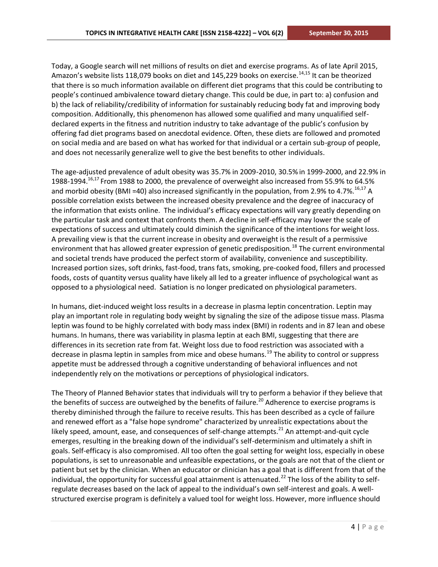Today, a Google search will net millions of results on diet and exercise programs. As of late April 2015, Amazon's website lists 118,079 books on diet and 145,229 books on exercise.<sup>14,15</sup> It can be theorized that there is so much information available on different diet programs that this could be contributing to people's continued ambivalence toward dietary change. This could be due, in part to: a) confusion and b) the lack of reliability/credibility of information for sustainably reducing body fat and improving body composition. Additionally, this phenomenon has allowed some qualified and many unqualified selfdeclared experts in the fitness and nutrition industry to take advantage of the public's confusion by offering fad diet programs based on anecdotal evidence. Often, these diets are followed and promoted on social media and are based on what has worked for that individual or a certain sub-group of people, and does not necessarily generalize well to give the best benefits to other individuals.

The age-adjusted prevalence of adult obesity was 35.7% in 2009-2010, 30.5% in 1999-2000, and 22.9% in 1988-1994.<sup>16,17</sup> From 1988 to 2000, the prevalence of overweight also increased from 55.9% to 64.5% and morbid obesity (BMI =40) also increased significantly in the population, from 2.9% to 4.7%.<sup>16,17</sup> A possible correlation exists between the increased obesity prevalence and the degree of inaccuracy of the information that exists online. The individual's efficacy expectations will vary greatly depending on the particular task and context that confronts them. A decline in self-efficacy may lower the scale of expectations of success and ultimately could diminish the significance of the intentions for weight loss. A prevailing view is that the current increase in obesity and overweight is the result of a permissive environment that has allowed greater expression of genetic predisposition.<sup>18</sup> The current environmental and societal trends have produced the perfect storm of availability, convenience and susceptibility. Increased portion sizes, soft drinks, fast-food, trans fats, smoking, pre-cooked food, fillers and processed foods, costs of quantity versus quality have likely all led to a greater influence of psychological want as opposed to a physiological need. Satiation is no longer predicated on physiological parameters.

In humans, diet-induced weight loss results in a decrease in plasma leptin concentration. Leptin may play an important role in regulating body weight by signaling the size of the adipose tissue mass. Plasma leptin was found to be highly correlated with body mass index (BMI) in rodents and in 87 lean and obese humans. In humans, there was variability in plasma leptin at each BMI, suggesting that there are differences in its secretion rate from fat. Weight loss due to food restriction was associated with a decrease in plasma leptin in samples from mice and obese humans.<sup>19</sup> The ability to control or suppress appetite must be addressed through a cognitive understanding of behavioral influences and not independently rely on the motivations or perceptions of physiological indicators.

The Theory of Planned Behavior states that individuals will try to perform a behavior if they believe that the benefits of success are outweighed by the benefits of failure.<sup>20</sup> Adherence to exercise programs is thereby diminished through the failure to receive results. This has been described as a cycle of failure and renewed effort as a "false hope syndrome" characterized by unrealistic expectations about the likely speed, amount, ease, and consequences of self-change attempts.<sup>21</sup> An attempt-and-quit cycle emerges, resulting in the breaking down of the individual's self-determinism and ultimately a shift in goals. Self-efficacy is also compromised. All too often the goal setting for weight loss, especially in obese populations, is set to unreasonable and unfeasible expectations, or the goals are not that of the client or patient but set by the clinician. When an educator or clinician has a goal that is different from that of the individual, the opportunity for successful goal attainment is attenuated.<sup>22</sup> The loss of the ability to selfregulate decreases based on the lack of appeal to the individual's own self-interest and goals. A wellstructured exercise program is definitely a valued tool for weight loss. However, more influence should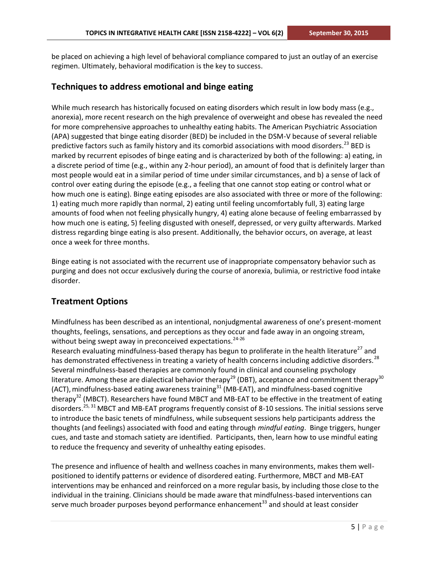be placed on achieving a high level of behavioral compliance compared to just an outlay of an exercise regimen. Ultimately, behavioral modification is the key to success.

### **Techniques to address emotional and binge eating**

While much research has historically focused on eating disorders which result in low body mass (e.g., anorexia), more recent research on the high prevalence of overweight and obese has revealed the need for more comprehensive approaches to unhealthy eating habits. The American Psychiatric Association (APA) suggested that binge eating disorder (BED) be included in the DSM-V because of several reliable predictive factors such as family history and its comorbid associations with mood disorders.<sup>23</sup> BED is marked by recurrent episodes of binge eating and is characterized by both of the following: a) eating, in a discrete period of time (e.g., within any 2-hour period), an amount of food that is definitely larger than most people would eat in a similar period of time under similar circumstances, and b) a sense of lack of control over eating during the episode (e.g., a feeling that one cannot stop eating or control what or how much one is eating). Binge eating episodes are also associated with three or more of the following: 1) eating much more rapidly than normal, 2) eating until feeling uncomfortably full, 3) eating large amounts of food when not feeling physically hungry, 4) eating alone because of feeling embarrassed by how much one is eating, 5) feeling disgusted with oneself, depressed, or very guilty afterwards. Marked distress regarding binge eating is also present. Additionally, the behavior occurs, on average, at least once a week for three months.

Binge eating is not associated with the recurrent use of inappropriate compensatory behavior such as purging and does not occur exclusively during the course of anorexia, bulimia, or restrictive food intake disorder.

### **Treatment Options**

Mindfulness has been described as an intentional, nonjudgmental awareness of one's present-moment thoughts, feelings, sensations, and perceptions as they occur and fade away in an ongoing stream, without being swept away in preconceived expectations.<sup>24-26</sup>

Research evaluating mindfulness-based therapy has begun to proliferate in the health literature<sup>27</sup> and has demonstrated effectiveness in treating a variety of health concerns including addictive disorders.<sup>28</sup> Several mindfulness-based therapies are commonly found in clinical and counseling psychology literature. Among these are dialectical behavior therapy<sup>29</sup> (DBT), acceptance and commitment therapy<sup>30</sup> (ACT), mindfulness-based eating awareness training<sup>31</sup> (MB-EAT), and mindfulness-based cognitive therapy<sup>32</sup> (MBCT). Researchers have found MBCT and MB-EAT to be effective in the treatment of eating disorders.<sup>25, 31</sup> MBCT and MB-EAT programs frequently consist of 8-10 sessions. The initial sessions serve to introduce the basic tenets of mindfulness, while subsequent sessions help participants address the thoughts (and feelings) associated with food and eating through *mindful eating*. Binge triggers, hunger cues, and taste and stomach satiety are identified. Participants, then, learn how to use mindful eating to reduce the frequency and severity of unhealthy eating episodes.

The presence and influence of health and wellness coaches in many environments, makes them wellpositioned to identify patterns or evidence of disordered eating. Furthermore, MBCT and MB-EAT interventions may be enhanced and reinforced on a more regular basis, by including those close to the individual in the training. Clinicians should be made aware that mindfulness-based interventions can serve much broader purposes beyond performance enhancement<sup>33</sup> and should at least consider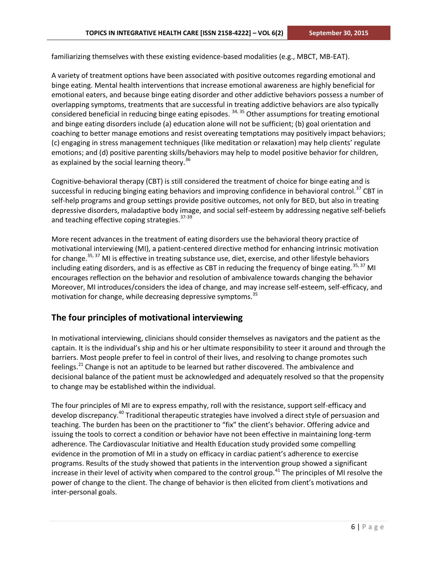familiarizing themselves with these existing evidence-based modalities (e.g., MBCT, MB-EAT).

A variety of treatment options have been associated with positive outcomes regarding emotional and binge eating. Mental health interventions that increase emotional awareness are highly beneficial for emotional eaters, and because binge eating disorder and other addictive behaviors possess a number of overlapping symptoms, treatments that are successful in treating addictive behaviors are also typically considered beneficial in reducing binge eating episodes.  $34, 35$  Other assumptions for treating emotional and binge eating disorders include (a) education alone will not be sufficient; (b) goal orientation and coaching to better manage emotions and resist overeating temptations may positively impact behaviors; (c) engaging in stress management techniques (like meditation or relaxation) may help clients' regulate emotions; and (d) positive parenting skills/behaviors may help to model positive behavior for children, as explained by the social learning theory.<sup>36</sup>

Cognitive-behavioral therapy (CBT) is still considered the treatment of choice for binge eating and is successful in reducing binging eating behaviors and improving confidence in behavioral control.<sup>37</sup> CBT in self-help programs and group settings provide positive outcomes, not only for BED, but also in treating depressive disorders, maladaptive body image, and social self-esteem by addressing negative self-beliefs and teaching effective coping strategies.<sup>37-39</sup>

More recent advances in the treatment of eating disorders use the behavioral theory practice of motivational interviewing (MI), a patient-centered directive method for enhancing intrinsic motivation for change.<sup>35, 37</sup> MI is effective in treating substance use, diet, exercise, and other lifestyle behaviors including eating disorders, and is as effective as CBT in reducing the frequency of binge eating.  $35, 37$  MI encourages reflection on the behavior and resolution of ambivalence towards changing the behavior Moreover, MI introduces/considers the idea of change, and may increase self-esteem, self-efficacy, and motivation for change, while decreasing depressive symptoms.<sup>35</sup>

### **The four principles of motivational interviewing**

In motivational interviewing, clinicians should consider themselves as navigators and the patient as the captain. It is the individual's ship and his or her ultimate responsibility to steer it around and through the barriers. Most people prefer to feel in control of their lives, and resolving to change promotes such feelings.<sup>21</sup> Change is not an aptitude to be learned but rather discovered. The ambivalence and decisional balance of the patient must be acknowledged and adequately resolved so that the propensity to change may be established within the individual.

The four principles of MI are to express empathy, roll with the resistance, support self-efficacy and develop discrepancy.<sup>40</sup> Traditional therapeutic strategies have involved a direct style of persuasion and teaching. The burden has been on the practitioner to "fix" the client's behavior. Offering advice and issuing the tools to correct a condition or behavior have not been effective in maintaining long-term adherence. The Cardiovascular Initiative and Health Education study provided some compelling evidence in the promotion of MI in a study on efficacy in cardiac patient's adherence to exercise programs. Results of the study showed that patients in the intervention group showed a significant increase in their level of activity when compared to the control group.<sup>41</sup> The principles of MI resolve the power of change to the client. The change of behavior is then elicited from client's motivations and inter-personal goals.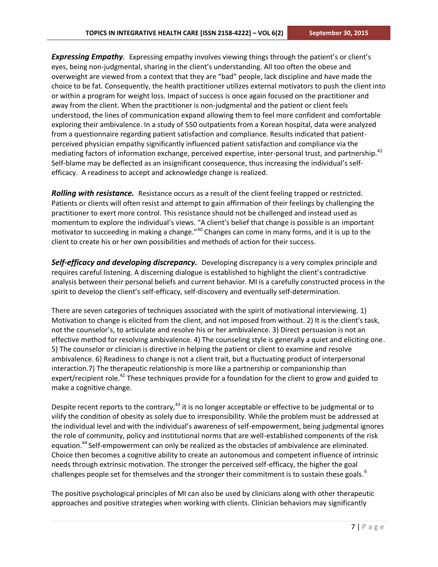*Expressing Empathy.* Expressing empathy involves viewing things through the patient's or client's eyes, being non-judgmental, sharing in the client's understanding. All too often the obese and overweight are viewed from a context that they are "bad" people, lack discipline and have made the choice to be fat. Consequently, the health practitioner utilizes external motivators to push the client into or within a program for weight loss. Impact of success is once again focused on the practitioner and away from the client. When the practitioner is non-judgmental and the patient or client feels understood, the lines of communication expand allowing them to feel more confident and comfortable exploring their ambivalence. In a study of 550 outpatients from a Korean hospital, data were analyzed from a questionnaire regarding patient satisfaction and compliance. Results indicated that patientperceived physician empathy significantly influenced patient satisfaction and compliance via the mediating factors of information exchange, perceived expertise, inter-personal trust, and partnership.<sup>42</sup> Self-blame may be deflected as an insignificant consequence, thus increasing the individual's selfefficacy. A readiness to accept and acknowledge change is realized.

*Rolling with resistance.* Resistance occurs as a result of the client feeling trapped or restricted. Patients or clients will often resist and attempt to gain affirmation of their feelings by challenging the practitioner to exert more control. This resistance should not be challenged and instead used as momentum to explore the individual's views. "A client's belief that change is possible is an important motivator to succeeding in making a change."<sup>40</sup> Changes can come in many forms, and it is up to the client to create his or her own possibilities and methods of action for their success.

*Self-efficacy and developing discrepancy.* Developing discrepancy is a very complex principle and requires careful listening. A discerning dialogue is established to highlight the client's contradictive analysis between their personal beliefs and current behavior. MI is a carefully constructed process in the spirit to develop the client's self-efficacy, self-discovery and eventually self-determination.

There are seven categories of techniques associated with the spirit of motivational interviewing. 1) Motivation to change is elicited from the client, and not imposed from without. 2) It is the client's task, not the counselor's, to articulate and resolve his or her ambivalence. 3) Direct persuasion is not an effective method for resolving ambivalence. 4) The counseling style is generally a quiet and eliciting one. 5) The counselor or clinician is directive in helping the patient or client to examine and resolve ambivalence. 6) Readiness to change is not a client trait, but a fluctuating product of interpersonal interaction.7) The therapeutic relationship is more like a partnership or companionship than expert/recipient role.<sup>42</sup> These techniques provide for a foundation for the client to grow and guided to make a cognitive change.

Despite recent reports to the contrary,  $43$  it is no longer acceptable or effective to be judgmental or to vilify the condition of obesity as solely due to irresponsibility. While the problem must be addressed at the individual level and with the individual's awareness of self-empowerment, being judgmental ignores the role of community, policy and institutional norms that are well-established components of the risk equation.<sup>44</sup> Self-empowerment can only be realized as the obstacles of ambivalence are eliminated. Choice then becomes a cognitive ability to create an autonomous and competent influence of intrinsic needs through extrinsic motivation. The stronger the perceived self-efficacy, the higher the goal challenges people set for themselves and the stronger their commitment is to sustain these goals.<sup>6</sup>

The positive psychological principles of MI can also be used by clinicians along with other therapeutic approaches and positive strategies when working with clients. Clinician behaviors may significantly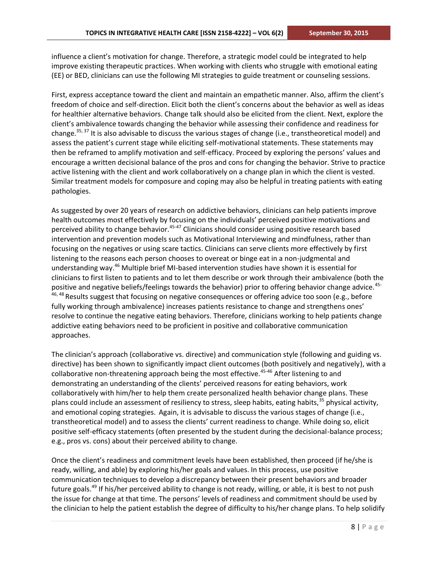influence a client's motivation for change. Therefore, a strategic model could be integrated to help improve existing therapeutic practices. When working with clients who struggle with emotional eating (EE) or BED, clinicians can use the following MI strategies to guide treatment or counseling sessions.

First, express acceptance toward the client and maintain an empathetic manner. Also, affirm the client's freedom of choice and self-direction. Elicit both the client's concerns about the behavior as well as ideas for healthier alternative behaviors. Change talk should also be elicited from the client. Next, explore the client's ambivalence towards changing the behavior while assessing their confidence and readiness for change.<sup>35, 37</sup> It is also advisable to discuss the various stages of change (i.e., transtheoretical model) and assess the patient's current stage while eliciting self-motivational statements. These statements may then be reframed to amplify motivation and self-efficacy. Proceed by exploring the persons' values and encourage a written decisional balance of the pros and cons for changing the behavior. Strive to practice active listening with the client and work collaboratively on a change plan in which the client is vested. Similar treatment models for composure and coping may also be helpful in treating patients with eating pathologies.

As suggested by over 20 years of research on addictive behaviors, clinicians can help patients improve health outcomes most effectively by focusing on the individuals' perceived positive motivations and perceived ability to change behavior.<sup>45-47</sup> Clinicians should consider using positive research based intervention and prevention models such as Motivational Interviewing and mindfulness, rather than focusing on the negatives or using scare tactics. Clinicians can serve clients more effectively by first listening to the reasons each person chooses to overeat or binge eat in a non-judgmental and understanding way.<sup>46</sup> Multiple brief MI-based intervention studies have shown it is essential for clinicians to first listen to patients and to let them describe or work through their ambivalence (both the positive and negative beliefs/feelings towards the behavior) prior to offering behavior change advice.<sup>45-</sup> 46, 48 Results suggest that focusing on negative consequences or offering advice too soon (e.g., before fully working through ambivalence) increases patients resistance to change and strengthens ones' resolve to continue the negative eating behaviors. Therefore, clinicians working to help patients change addictive eating behaviors need to be proficient in positive and collaborative communication approaches.

The clinician's approach (collaborative vs. directive) and communication style (following and guiding vs. directive) has been shown to significantly impact client outcomes (both positively and negatively), with a collaborative non-threatening approach being the most effective.<sup>45-46</sup> After listening to and demonstrating an understanding of the clients' perceived reasons for eating behaviors, work collaboratively with him/her to help them create personalized health behavior change plans. These plans could include an assessment of resiliency to stress, sleep habits, eating habits,  $35$  physical activity, and emotional coping strategies. Again, it is advisable to discuss the various stages of change (i.e., transtheoretical model) and to assess the clients' current readiness to change. While doing so, elicit positive self-efficacy statements (often presented by the student during the decisional-balance process; e.g., pros vs. cons) about their perceived ability to change.

Once the client's readiness and commitment levels have been established, then proceed (if he/she is ready, willing, and able) by exploring his/her goals and values. In this process, use positive communication techniques to develop a discrepancy between their present behaviors and broader future goals.<sup>49</sup> If his/her perceived ability to change is not ready, willing, or able, it is best to not push the issue for change at that time. The persons' levels of readiness and commitment should be used by the clinician to help the patient establish the degree of difficulty to his/her change plans. To help solidify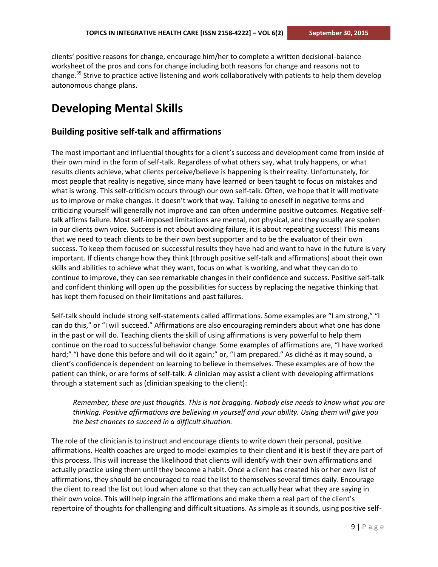clients' positive reasons for change, encourage him/her to complete a written decisional-balance worksheet of the pros and cons for change including both reasons for change and reasons not to change.<sup>35</sup> Strive to practice active listening and work collaboratively with patients to help them develop autonomous change plans.

# **Developing Mental Skills**

### **Building positive self-talk and affirmations**

The most important and influential thoughts for a client's success and development come from inside of their own mind in the form of self-talk. Regardless of what others say, what truly happens, or what results clients achieve, what clients perceive/believe is happening is their reality. Unfortunately, for most people that reality is negative, since many have learned or been taught to focus on mistakes and what is wrong. This self-criticism occurs through our own self-talk. Often, we hope that it will motivate us to improve or make changes. It doesn't work that way. Talking to oneself in negative terms and criticizing yourself will generally not improve and can often undermine positive outcomes. Negative selftalk affirms failure. Most self-imposed limitations are mental, not physical, and they usually are spoken in our clients own voice. Success is not about avoiding failure, it is about repeating success! This means that we need to teach clients to be their own best supporter and to be the evaluator of their own success. To keep them focused on successful results they have had and want to have in the future is very important. If clients change how they think (through positive self-talk and affirmations) about their own skills and abilities to achieve what they want, focus on what is working, and what they can do to continue to improve, they can see remarkable changes in their confidence and success. Positive self-talk and confident thinking will open up the possibilities for success by replacing the negative thinking that has kept them focused on their limitations and past failures.

Self-talk should include strong self-statements called affirmations. Some examples are "I am strong," "I can do this," or "I will succeed." Affirmations are also encouraging reminders about what one has done in the past or will do. Teaching clients the skill of using affirmations is very powerful to help them continue on the road to successful behavior change. Some examples of affirmations are, "I have worked hard;" "I have done this before and will do it again;" or, "I am prepared." As cliché as it may sound, a client's confidence is dependent on learning to believe in themselves. These examples are of how the patient can think, or are forms of self-talk. A clinician may assist a client with developing affirmations through a statement such as (clinician speaking to the client):

### *Remember, these are just thoughts. This is not bragging. Nobody else needs to know what you are thinking. Positive affirmations are believing in yourself and your ability. Using them will give you the best chances to succeed in a difficult situation.*

The role of the clinician is to instruct and encourage clients to write down their personal, positive affirmations. Health coaches are urged to model examples to their client and it is best if they are part of this process. This will increase the likelihood that clients will identify with their own affirmations and actually practice using them until they become a habit. Once a client has created his or her own list of affirmations, they should be encouraged to read the list to themselves several times daily. Encourage the client to read the list out loud when alone so that they can actually hear what they are saying in their own voice. This will help ingrain the affirmations and make them a real part of the client's repertoire of thoughts for challenging and difficult situations. As simple as it sounds, using positive self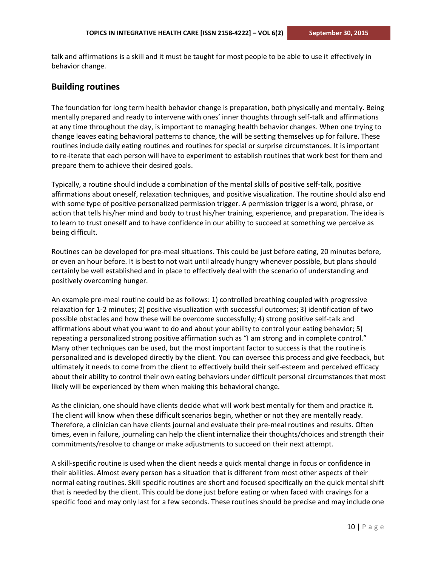talk and affirmations is a skill and it must be taught for most people to be able to use it effectively in behavior change.

#### **Building routines**

The foundation for long term health behavior change is preparation, both physically and mentally. Being mentally prepared and ready to intervene with ones' inner thoughts through self-talk and affirmations at any time throughout the day, is important to managing health behavior changes. When one trying to change leaves eating behavioral patterns to chance, the will be setting themselves up for failure. These routines include daily eating routines and routines for special or surprise circumstances. It is important to re-iterate that each person will have to experiment to establish routines that work best for them and prepare them to achieve their desired goals.

Typically, a routine should include a combination of the mental skills of positive self-talk, positive affirmations about oneself, relaxation techniques, and positive visualization. The routine should also end with some type of positive personalized permission trigger. A permission trigger is a word, phrase, or action that tells his/her mind and body to trust his/her training, experience, and preparation. The idea is to learn to trust oneself and to have confidence in our ability to succeed at something we perceive as being difficult.

Routines can be developed for pre-meal situations. This could be just before eating, 20 minutes before, or even an hour before. It is best to not wait until already hungry whenever possible, but plans should certainly be well established and in place to effectively deal with the scenario of understanding and positively overcoming hunger.

An example pre-meal routine could be as follows: 1) controlled breathing coupled with progressive relaxation for 1-2 minutes; 2) positive visualization with successful outcomes; 3) identification of two possible obstacles and how these will be overcome successfully; 4) strong positive self-talk and affirmations about what you want to do and about your ability to control your eating behavior; 5) repeating a personalized strong positive affirmation such as "I am strong and in complete control." Many other techniques can be used, but the most important factor to success is that the routine is personalized and is developed directly by the client. You can oversee this process and give feedback, but ultimately it needs to come from the client to effectively build their self-esteem and perceived efficacy about their ability to control their own eating behaviors under difficult personal circumstances that most likely will be experienced by them when making this behavioral change.

As the clinician, one should have clients decide what will work best mentally for them and practice it. The client will know when these difficult scenarios begin, whether or not they are mentally ready. Therefore, a clinician can have clients journal and evaluate their pre-meal routines and results. Often times, even in failure, journaling can help the client internalize their thoughts/choices and strength their commitments/resolve to change or make adjustments to succeed on their next attempt.

A skill-specific routine is used when the client needs a quick mental change in focus or confidence in their abilities. Almost every person has a situation that is different from most other aspects of their normal eating routines. Skill specific routines are short and focused specifically on the quick mental shift that is needed by the client. This could be done just before eating or when faced with cravings for a specific food and may only last for a few seconds. These routines should be precise and may include one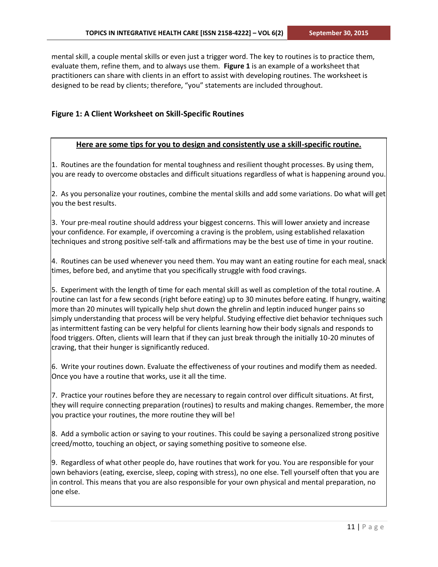mental skill, a couple mental skills or even just a trigger word. The key to routines is to practice them, evaluate them, refine them, and to always use them. **Figure 1** is an example of a worksheet that practitioners can share with clients in an effort to assist with developing routines. The worksheet is designed to be read by clients; therefore, "you" statements are included throughout.

### **Figure 1: A Client Worksheet on Skill-Specific Routines**

#### **Here are some tips for you to design and consistently use a skill-specific routine.**

1. Routines are the foundation for mental toughness and resilient thought processes. By using them, you are ready to overcome obstacles and difficult situations regardless of what is happening around you.

2. As you personalize your routines, combine the mental skills and add some variations. Do what will get you the best results.

3. Your pre-meal routine should address your biggest concerns. This will lower anxiety and increase your confidence. For example, if overcoming a craving is the problem, using established relaxation techniques and strong positive self-talk and affirmations may be the best use of time in your routine.

4. Routines can be used whenever you need them. You may want an eating routine for each meal, snack times, before bed, and anytime that you specifically struggle with food cravings.

5. Experiment with the length of time for each mental skill as well as completion of the total routine. A routine can last for a few seconds (right before eating) up to 30 minutes before eating. If hungry, waiting more than 20 minutes will typically help shut down the ghrelin and leptin induced hunger pains so simply understanding that process will be very helpful. Studying effective diet behavior techniques such as intermittent fasting can be very helpful for clients learning how their body signals and responds to food triggers. Often, clients will learn that if they can just break through the initially 10-20 minutes of craving, that their hunger is significantly reduced.

6. Write your routines down. Evaluate the effectiveness of your routines and modify them as needed. Once you have a routine that works, use it all the time.

7. Practice your routines before they are necessary to regain control over difficult situations. At first, they will require connecting preparation (routines) to results and making changes. Remember, the more you practice your routines, the more routine they will be!

8. Add a symbolic action or saying to your routines. This could be saying a personalized strong positive creed/motto, touching an object, or saying something positive to someone else.

9. Regardless of what other people do, have routines that work for you. You are responsible for your own behaviors (eating, exercise, sleep, coping with stress), no one else. Tell yourself often that you are in control. This means that you are also responsible for your own physical and mental preparation, no one else.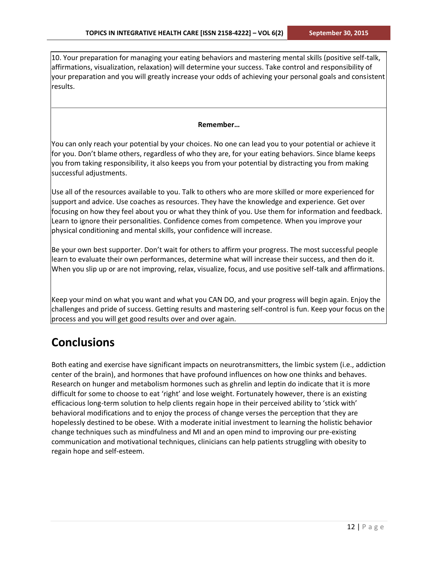10. Your preparation for managing your eating behaviors and mastering mental skills (positive self-talk, affirmations, visualization, relaxation) will determine your success. Take control and responsibility of your preparation and you will greatly increase your odds of achieving your personal goals and consistent results.

#### **Remember…**

You can only reach your potential by your choices. No one can lead you to your potential or achieve it for you. Don't blame others, regardless of who they are, for your eating behaviors. Since blame keeps you from taking responsibility, it also keeps you from your potential by distracting you from making successful adjustments.

Use all of the resources available to you. Talk to others who are more skilled or more experienced for support and advice. Use coaches as resources. They have the knowledge and experience. Get over focusing on how they feel about you or what they think of you. Use them for information and feedback. Learn to ignore their personalities. Confidence comes from competence. When you improve your physical conditioning and mental skills, your confidence will increase.

Be your own best supporter. Don't wait for others to affirm your progress. The most successful people learn to evaluate their own performances, determine what will increase their success, and then do it. When you slip up or are not improving, relax, visualize, focus, and use positive self-talk and affirmations.

Keep your mind on what you want and what you CAN DO, and your progress will begin again. Enjoy the challenges and pride of success. Getting results and mastering self-control is fun. Keep your focus on the process and you will get good results over and over again.

### **Conclusions**

Both eating and exercise have significant impacts on neurotransmitters, the limbic system (i.e., addiction center of the brain), and hormones that have profound influences on how one thinks and behaves. Research on hunger and metabolism hormones such as ghrelin and leptin do indicate that it is more difficult for some to choose to eat 'right' and lose weight. Fortunately however, there is an existing efficacious long-term solution to help clients regain hope in their perceived ability to 'stick with' behavioral modifications and to enjoy the process of change verses the perception that they are hopelessly destined to be obese. With a moderate initial investment to learning the holistic behavior change techniques such as mindfulness and MI and an open mind to improving our pre-existing communication and motivational techniques, clinicians can help patients struggling with obesity to regain hope and self-esteem.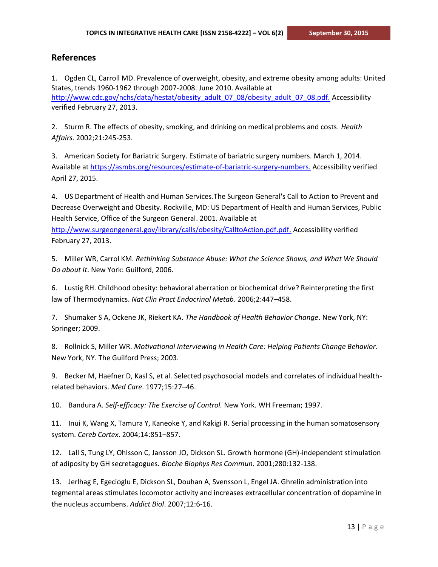### **References**

1. Ogden CL, Carroll MD. Prevalence of overweight, obesity, and extreme obesity among adults: United States, trends 1960-1962 through 2007-2008. June 2010. Available at [http://www.cdc.gov/nchs/data/hestat/obesity\\_adult\\_07\\_08/obesity\\_adult\\_07\\_08.pdf.](http://www.cdc.gov/nchs/data/hestat/obesity_adult_07_08/obesity_adult_07_08.pdf) Accessibility verified February 27, 2013.

2. Sturm R. The effects of obesity, smoking, and drinking on medical problems and costs. *Health Affairs*. 2002;21:245-253.

3. American Society for Bariatric Surgery. Estimate of bariatric surgery numbers. March 1, 2014. Available a[t https://asmbs.org/resources/estimate-of-bariatric-surgery-numbers.](https://asmbs.org/resources/estimate-of-bariatric-surgery-numbers) Accessibility verified April 27, 2015.

4. US Department of Health and Human Services.The Surgeon General's Call to Action to Prevent and Decrease Overweight and Obesity. Rockville, MD: US Department of Health and Human Services, Public Health Service, Office of the Surgeon General. 2001. Available at [http://www.surgeongeneral.gov/library/calls/obesity/CalltoAction.pdf.pdf.](http://www.surgeongeneral.gov/library/calls/obesity/CalltoAction.pdf.pdf) Accessibility verified February 27, 2013.

5. Miller WR, Carrol KM. *Rethinking Substance Abuse: What the Science Shows, and What We Should Do about It*. New York: Guilford, 2006.

6. Lustig RH. Childhood obesity: behavioral aberration or biochemical drive? Reinterpreting the first law of Thermodynamics. *Nat Clin Pract Endocrinol Metab*. 2006;2:447–458.

7. Shumaker S A, Ockene JK, Riekert KA. *The Handbook of Health Behavior Change*. New York, NY: Springer; 2009.

8. Rollnick S, Miller WR. *Motivational Interviewing in Health Care: Helping Patients Change Behavior*. New York, NY. The Guilford Press; 2003.

9. Becker M, Haefner D, Kasl S, et al. Selected psychosocial models and correlates of individual healthrelated behaviors. *Med Care*. 1977;15:27–46.

10. Bandura A. *Self-efficacy: The Exercise of Control.* New York. WH Freeman; 1997.

11. Inui K, Wang X, Tamura Y, Kaneoke Y, and Kakigi R. Serial processing in the human somatosensory system. *Cereb Cortex*. 2004;14:851–857.

12. Lall S, Tung LY, Ohlsson C, Jansson JO, Dickson SL. Growth hormone (GH)-independent stimulation of adiposity by GH secretagogues. *Bioche Biophys Res Commun*. 2001;280:132-138.

13. Jerlhag E, Egecioglu E, Dickson SL, Douhan A, Svensson L, Engel JA. Ghrelin administration into tegmental areas stimulates locomotor activity and increases extracellular concentration of dopamine in the nucleus accumbens. *Addict Biol*. 2007;12:6-16.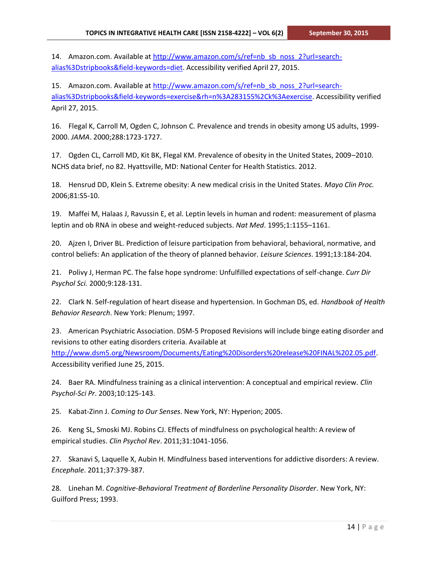14. Amazon.com. Available at [http://www.amazon.com/s/ref=nb\\_sb\\_noss\\_2?url=search](http://www.amazon.com/s/ref=nb_sb_noss_2?url=search-alias%3Dstripbooks&field-keywords=diet)[alias%3Dstripbooks&field-keywords=diet.](http://www.amazon.com/s/ref=nb_sb_noss_2?url=search-alias%3Dstripbooks&field-keywords=diet) Accessibility verified April 27, 2015.

15. Amazon.com. Available at [http://www.amazon.com/s/ref=nb\\_sb\\_noss\\_2?url=search](http://www.amazon.com/s/ref=nb_sb_noss_2?url=search-alias%3Dstripbooks&field-keywords=exercise&rh=n%3A283155%2Ck%3Aexercise)[alias%3Dstripbooks&field-keywords=exercise&rh=n%3A283155%2Ck%3Aexercise.](http://www.amazon.com/s/ref=nb_sb_noss_2?url=search-alias%3Dstripbooks&field-keywords=exercise&rh=n%3A283155%2Ck%3Aexercise) Accessibility verified April 27, 2015.

16. Flegal K, Carroll M, Ogden C, Johnson C. Prevalence and trends in obesity among US adults, 1999- 2000. *JAMA*. 2000;288:1723-1727.

17. Ogden CL, Carroll MD, Kit BK, Flegal KM. Prevalence of obesity in the United States, 2009–2010. NCHS data brief, no 82. Hyattsville, MD: National Center for Health Statistics. 2012.

18. Hensrud DD, Klein S. Extreme obesity: A new medical crisis in the United States. *Mayo Clin Proc.* 2006;81:S5-10.

19. Maffei M, Halaas J, Ravussin E, et al. Leptin levels in human and rodent: measurement of plasma leptin and ob RNA in obese and weight-reduced subjects. *Nat Med*. 1995;1:1155–1161.

20. Ajzen I, Driver BL. Prediction of leisure participation from behavioral, behavioral, normative, and control beliefs: An application of the theory of planned behavior. *Leisure Sciences*. 1991;13:184-204.

21. Polivy J, Herman PC. The false hope syndrome: Unfulfilled expectations of self-change. *Curr Dir Psychol Sci.* 2000;9:128-131.

22. Clark N. Self-regulation of heart disease and hypertension. In Gochman DS, ed. *Handbook of Health Behavior Research*. New York: Plenum; 1997.

23. American Psychiatric Association. DSM-5 Proposed Revisions will include binge eating disorder and revisions to other eating disorders criteria. Available at [http://www.dsm5.org/Newsroom/Documents/Eating%20Disorders%20release%20FINAL%202.05.pdf.](http://www.dsm5.org/Newsroom/Documents/Eating%20Disorders%20release%20FINAL%202.05.pdf) Accessibility verified June 25, 2015.

24. Baer RA. Mindfulness training as a clinical intervention: A conceptual and empirical review. *Clin Psychol-Sci Pr*. 2003;10:125-143.

25. Kabat-Zinn J. *Coming to Our Senses*. New York, NY: Hyperion; 2005.

26. Keng SL, Smoski MJ. Robins CJ. Effects of mindfulness on psychological health: A review of empirical studies. *Clin Psychol Rev*. 2011;31:1041-1056.

27. Skanavi S, Laquelle X, Aubin H. Mindfulness based interventions for addictive disorders: A review. *Encephale*. 2011;37:379-387.

28. Linehan M. *Cognitive-Behavioral Treatment of Borderline Personality Disorder*. New York, NY: Guilford Press; 1993.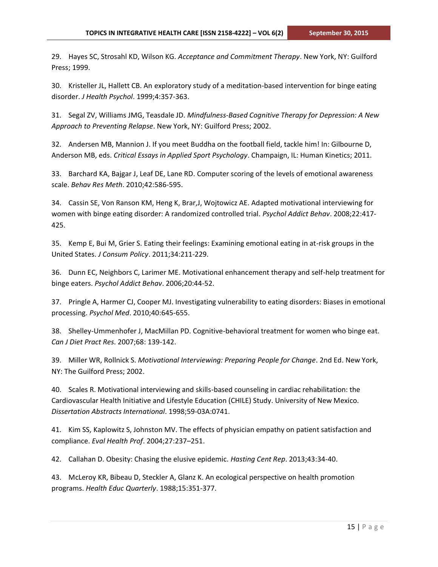29. Hayes SC, Strosahl KD, Wilson KG. *Acceptance and Commitment Therapy*. New York, NY: Guilford Press; 1999.

30. Kristeller JL, Hallett CB. An exploratory study of a meditation-based intervention for binge eating disorder. *J Health Psychol*. 1999;4:357-363.

31. Segal ZV, Williams JMG, Teasdale JD. *Mindfulness-Based Cognitive Therapy for Depression: A New Approach to Preventing Relapse*. New York, NY: Guilford Press; 2002.

32. Andersen MB, Mannion J. If you meet Buddha on the football field, tackle him! In: Gilbourne D, Anderson MB, eds. *Critical Essays in Applied Sport Psychology*. Champaign, IL: Human Kinetics; 2011.

33. Barchard KA, Bajgar J, Leaf DE, Lane RD. Computer scoring of the levels of emotional awareness scale. *Behav Res Meth*. 2010;42:586-595.

34. Cassin SE, Von Ranson KM, Heng K, Brar,J, Wojtowicz AE. Adapted motivational interviewing for women with binge eating disorder: A randomized controlled trial. *Psychol Addict Behav*. 2008;22:417- 425.

35. Kemp E, Bui M, Grier S. Eating their feelings: Examining emotional eating in at-risk groups in the United States. *J Consum Policy*. 2011;34:211-229.

36. Dunn EC, Neighbors C, Larimer ME. Motivational enhancement therapy and self-help treatment for binge eaters. *Psychol Addict Behav*. 2006;20:44-52.

37. Pringle A, Harmer CJ, Cooper MJ. Investigating vulnerability to eating disorders: Biases in emotional processing. *Psychol Med*. 2010;40:645-655.

38. Shelley-Ummenhofer J, MacMillan PD. Cognitive-behavioral treatment for women who binge eat. *Can J Diet Pract Res*. 2007;68: 139-142.

39. Miller WR, Rollnick S. *Motivational Interviewing: Preparing People for Change*. 2nd Ed. New York, NY: The Guilford Press; 2002.

40. Scales R. Motivational interviewing and skills-based counseling in cardiac rehabilitation: the Cardiovascular Health Initiative and Lifestyle Education (CHILE) Study. University of New Mexico. *Dissertation Abstracts International*. 1998;59-03A:0741.

41. Kim SS, Kaplowitz S, Johnston MV. The effects of physician empathy on patient satisfaction and compliance. *Eval Health Prof*. 2004;27:237–251.

42. Callahan D. Obesity: Chasing the elusive epidemic. *Hasting Cent Rep*. 2013;43:34-40.

43. McLeroy KR, Bibeau D, Steckler A, Glanz K. An ecological perspective on health promotion programs. *Health Educ Quarterly*. 1988;15:351-377.